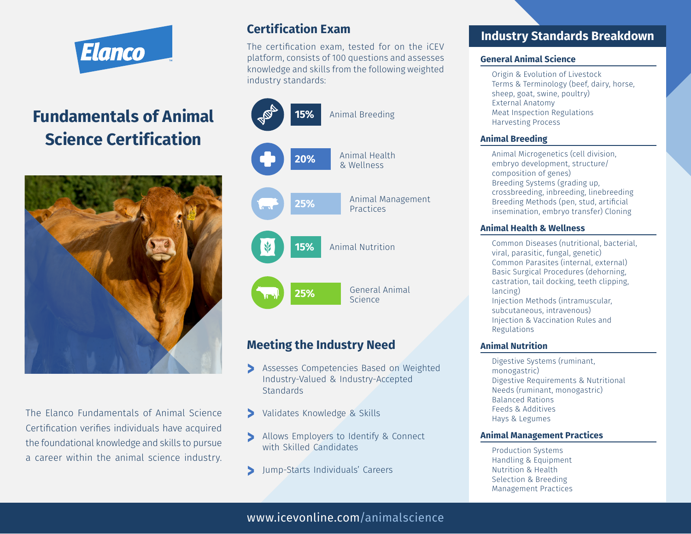

# **Fundamentals of Animal Science Certification**



The Elanco Fundamentals of Animal Science Certification verifies individuals have acquired the foundational knowledge and skills to pursue a career within the animal science industry.

# **Certification Exam**

The certification exam, tested for on the iCEV platform, consists of 100 questions and assesses knowledge and skills from the following weighted industry standards:



## **Meeting the Industry Need**

- Assesses Competencies Based on Weighted **^** Industry-Valued & Industry-Accepted **Standards**
- Validates Knowledge & Skills **^**
- Allows Employers to Identify & Connect **^** with Skilled Candidates
	- Jump-Starts Individuals' Careers **^**

### **Industry Standards Breakdown**

#### **General Animal Science**

Origin & Evolution of Livestock Terms & Terminology (beef, dairy, horse, sheep, goat, swine, poultry) External Anatomy Meat Inspection Regulations Harvesting Process

#### **Animal Breeding**

Animal Microgenetics (cell division, embryo development, structure/ composition of genes) Breeding Systems (grading up, crossbreeding, inbreeding, linebreeding Breeding Methods (pen, stud, artificial insemination, embryo transfer) Cloning

#### **Animal Health & Wellness**

Common Diseases (nutritional, bacterial, viral, parasitic, fungal, genetic) Common Parasites (internal, external) Basic Surgical Procedures (dehorning, castration, tail docking, teeth clipping, lancing) Injection Methods (intramuscular, subcutaneous, intravenous)

Injection & Vaccination Rules and Regulations

#### **Animal Nutrition**

Digestive Systems (ruminant, monogastric) Digestive Requirements & Nutritional Needs (ruminant, monogastric) Balanced Rations Feeds & Additives Hays & Legumes

#### **Animal Management Practices**

Production Systems Handling & Equipment Nutrition & Health Selection & Breeding Management Practices

www.icevonline.com/animalscience